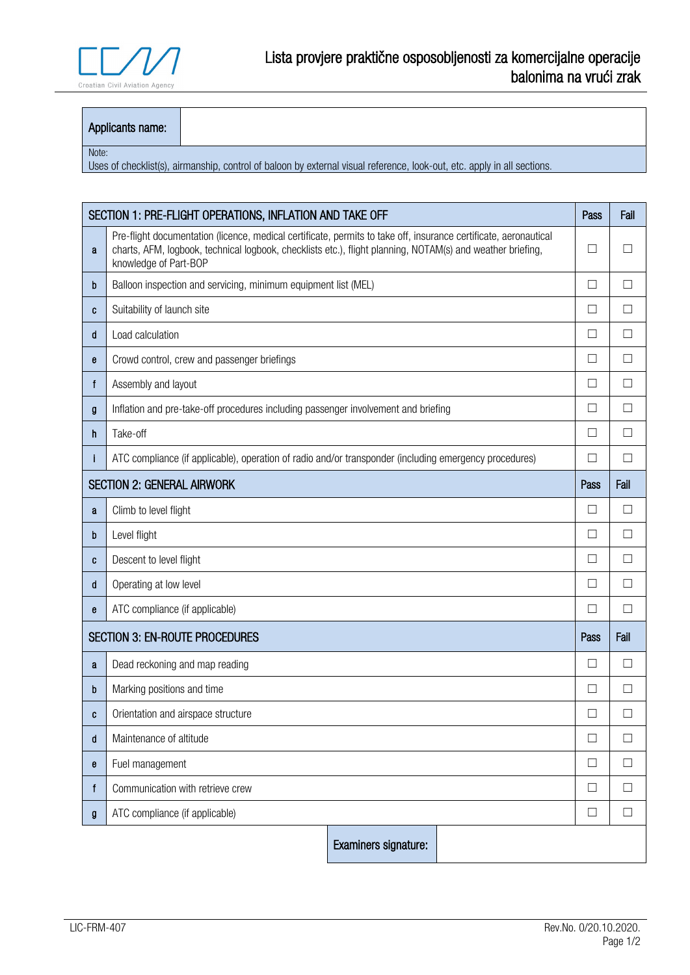

## Applicants name:

## Note:

Uses of checklist(s), airmanship, control of baloon by external visual reference, look-out, etc. apply in all sections.

| SECTION 1: PRE-FLIGHT OPERATIONS, INFLATION AND TAKE OFF |                                                                                                                                                                                                                                                         |      | Fail         |  |
|----------------------------------------------------------|---------------------------------------------------------------------------------------------------------------------------------------------------------------------------------------------------------------------------------------------------------|------|--------------|--|
| a                                                        | Pre-flight documentation (licence, medical certificate, permits to take off, insurance certificate, aeronautical<br>charts, AFM, logbook, technical logbook, checklists etc.), flight planning, NOTAM(s) and weather briefing,<br>knowledge of Part-BOP |      |              |  |
| b                                                        | Balloon inspection and servicing, minimum equipment list (MEL)                                                                                                                                                                                          | Ш    | $\Box$       |  |
| C                                                        | Suitability of launch site                                                                                                                                                                                                                              | ĪΙ   | $\mathsf{L}$ |  |
| d                                                        | Load calculation                                                                                                                                                                                                                                        |      |              |  |
| е                                                        | Crowd control, crew and passenger briefings                                                                                                                                                                                                             |      |              |  |
| f                                                        | Assembly and layout                                                                                                                                                                                                                                     |      |              |  |
| g                                                        | Inflation and pre-take-off procedures including passenger involvement and briefing                                                                                                                                                                      |      |              |  |
| h                                                        | Take-off                                                                                                                                                                                                                                                |      |              |  |
|                                                          | ATC compliance (if applicable), operation of radio and/or transponder (including emergency procedures)                                                                                                                                                  |      | $\Box$       |  |
| <b>SECTION 2: GENERAL AIRWORK</b>                        |                                                                                                                                                                                                                                                         | Pass | Fail         |  |
| a                                                        | Climb to level flight                                                                                                                                                                                                                                   | □    | П            |  |
| b                                                        | Level flight                                                                                                                                                                                                                                            |      |              |  |
| C                                                        | Descent to level flight                                                                                                                                                                                                                                 |      |              |  |
| d                                                        | Operating at low level                                                                                                                                                                                                                                  |      |              |  |
| e                                                        | ATC compliance (if applicable)                                                                                                                                                                                                                          |      |              |  |
| <b>SECTION 3: EN-ROUTE PROCEDURES</b>                    |                                                                                                                                                                                                                                                         |      | Fail         |  |
| a                                                        | Dead reckoning and map reading                                                                                                                                                                                                                          |      |              |  |
| b                                                        | Marking positions and time                                                                                                                                                                                                                              |      |              |  |
| C                                                        | Orientation and airspace structure                                                                                                                                                                                                                      |      |              |  |
| d                                                        | Maintenance of altitude                                                                                                                                                                                                                                 |      |              |  |
| е                                                        | Fuel management                                                                                                                                                                                                                                         |      |              |  |
| f                                                        | Communication with retrieve crew                                                                                                                                                                                                                        |      | $\Box$       |  |
| g                                                        | ATC compliance (if applicable)                                                                                                                                                                                                                          | □    | П            |  |
|                                                          | Examiners signature:                                                                                                                                                                                                                                    |      |              |  |